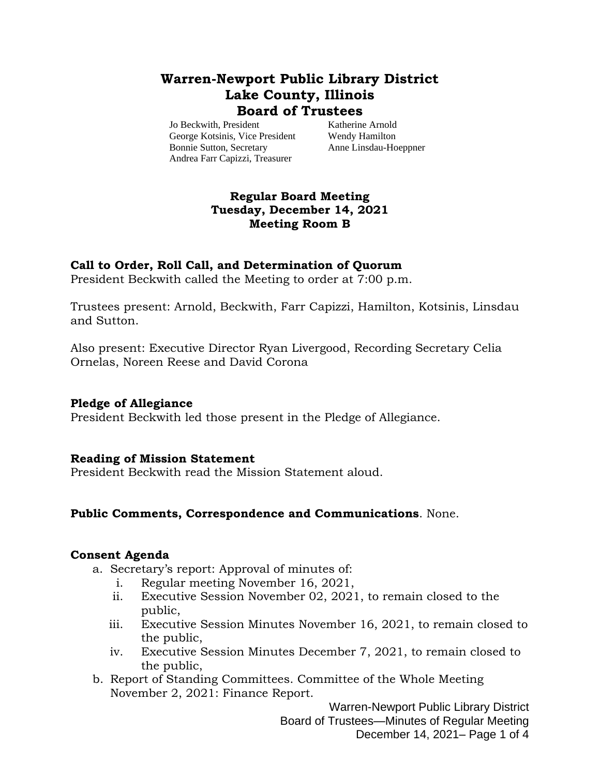# **Warren-Newport Public Library District Lake County, Illinois Board of Trustees**

Jo Beckwith, President Katherine Arnold George Kotsinis, Vice President Wendy Hamilton Bonnie Sutton, Secretary Anne Linsdau-Hoeppner Andrea Farr Capizzi, Treasurer

# **Regular Board Meeting Tuesday, December 14, 2021 Meeting Room B**

#### **Call to Order, Roll Call, and Determination of Quorum**

President Beckwith called the Meeting to order at 7:00 p.m.

Trustees present: Arnold, Beckwith, Farr Capizzi, Hamilton, Kotsinis, Linsdau and Sutton.

Also present: Executive Director Ryan Livergood, Recording Secretary Celia Ornelas, Noreen Reese and David Corona

#### **Pledge of Allegiance**

President Beckwith led those present in the Pledge of Allegiance.

# **Reading of Mission Statement**

President Beckwith read the Mission Statement aloud.

#### **Public Comments, Correspondence and Communications**. None.

#### **Consent Agenda**

- a. Secretary's report: Approval of minutes of:
	- i. Regular meeting November 16, 2021,
	- ii. Executive Session November 02, 2021, to remain closed to the public,
	- iii. Executive Session Minutes November 16, 2021, to remain closed to the public,
	- iv. Executive Session Minutes December 7, 2021, to remain closed to the public,
- b. Report of Standing Committees. Committee of the Whole Meeting November 2, 2021: Finance Report.

Warren-Newport Public Library District Board of Trustees—Minutes of Regular Meeting December 14, 2021– Page 1 of 4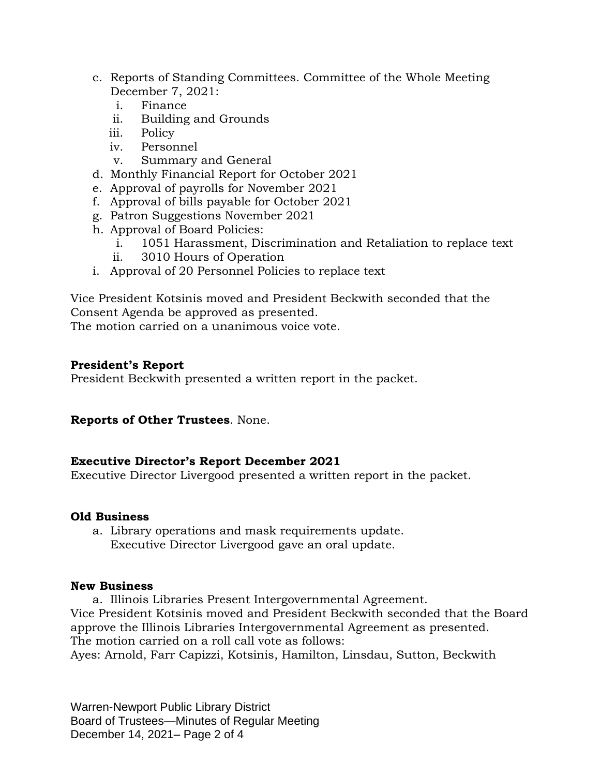- c. Reports of Standing Committees. Committee of the Whole Meeting December 7, 2021:
	- i. Finance
	- ii. Building and Grounds
	- iii. Policy
	- iv. Personnel
	- v. Summary and General
- d. Monthly Financial Report for October 2021
- e. Approval of payrolls for November 2021
- f. Approval of bills payable for October 2021
- g. Patron Suggestions November 2021
- h. Approval of Board Policies:
	- i. 1051 Harassment, Discrimination and Retaliation to replace text
	- ii. 3010 Hours of Operation
- i. Approval of 20 Personnel Policies to replace text

Vice President Kotsinis moved and President Beckwith seconded that the Consent Agenda be approved as presented.

The motion carried on a unanimous voice vote.

# **President's Report**

President Beckwith presented a written report in the packet.

#### **Reports of Other Trustees**. None.

#### **Executive Director's Report December 2021**

Executive Director Livergood presented a written report in the packet.

#### **Old Business**

a. Library operations and mask requirements update. Executive Director Livergood gave an oral update.

#### **New Business**

a. Illinois Libraries Present Intergovernmental Agreement. Vice President Kotsinis moved and President Beckwith seconded that the Board approve the Illinois Libraries Intergovernmental Agreement as presented. The motion carried on a roll call vote as follows:

Ayes: Arnold, Farr Capizzi, Kotsinis, Hamilton, Linsdau, Sutton, Beckwith

Warren-Newport Public Library District Board of Trustees—Minutes of Regular Meeting December 14, 2021– Page 2 of 4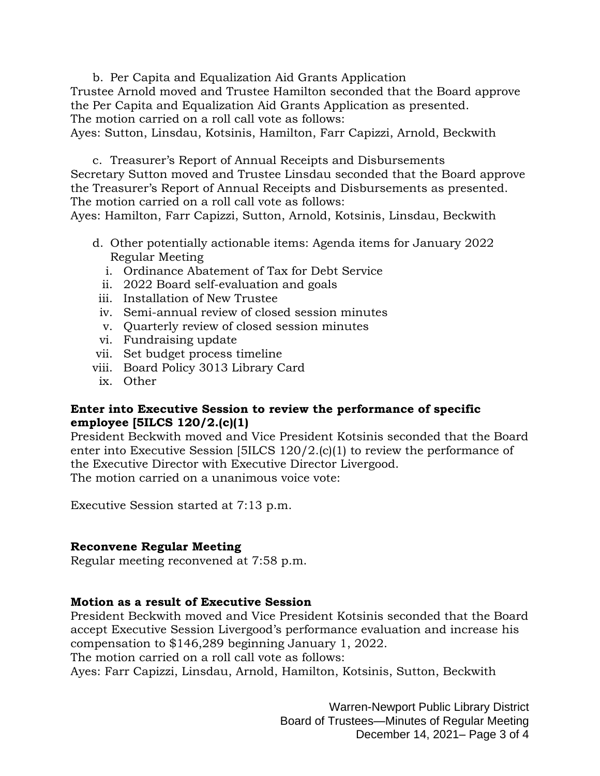b. Per Capita and Equalization Aid Grants Application Trustee Arnold moved and Trustee Hamilton seconded that the Board approve the Per Capita and Equalization Aid Grants Application as presented. The motion carried on a roll call vote as follows:

Ayes: Sutton, Linsdau, Kotsinis, Hamilton, Farr Capizzi, Arnold, Beckwith

c. Treasurer's Report of Annual Receipts and Disbursements Secretary Sutton moved and Trustee Linsdau seconded that the Board approve the Treasurer's Report of Annual Receipts and Disbursements as presented. The motion carried on a roll call vote as follows:

Ayes: Hamilton, Farr Capizzi, Sutton, Arnold, Kotsinis, Linsdau, Beckwith

- d. Other potentially actionable items: Agenda items for January 2022 Regular Meeting
	- i. Ordinance Abatement of Tax for Debt Service
	- ii. 2022 Board self-evaluation and goals
- iii. Installation of New Trustee
- iv. Semi-annual review of closed session minutes
- v. Quarterly review of closed session minutes
- vi. Fundraising update
- vii. Set budget process timeline
- viii. Board Policy 3013 Library Card
- ix. Other

# **Enter into Executive Session to review the performance of specific employee [5ILCS 120/2.(c)(1)**

President Beckwith moved and Vice President Kotsinis seconded that the Board enter into Executive Session [5ILCS 120/2.(c)(1) to review the performance of the Executive Director with Executive Director Livergood. The motion carried on a unanimous voice vote:

Executive Session started at 7:13 p.m.

#### **Reconvene Regular Meeting**

Regular meeting reconvened at 7:58 p.m.

#### **Motion as a result of Executive Session**

President Beckwith moved and Vice President Kotsinis seconded that the Board accept Executive Session Livergood's performance evaluation and increase his compensation to \$146,289 beginning January 1, 2022.

The motion carried on a roll call vote as follows:

Ayes: Farr Capizzi, Linsdau, Arnold, Hamilton, Kotsinis, Sutton, Beckwith

Warren-Newport Public Library District Board of Trustees—Minutes of Regular Meeting December 14, 2021– Page 3 of 4